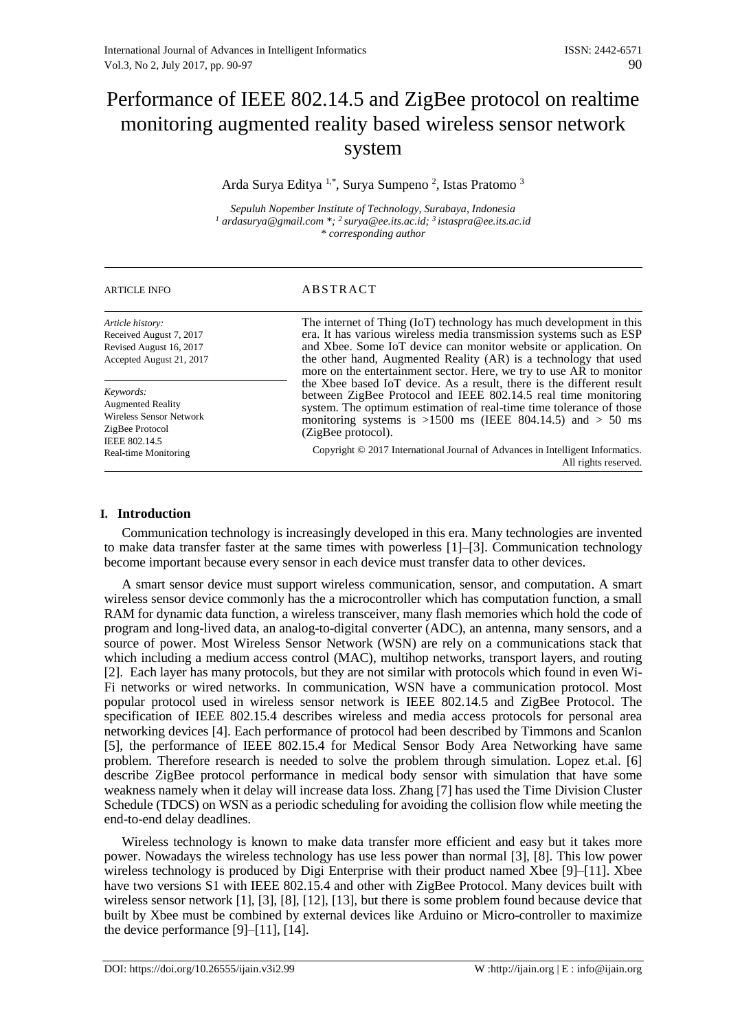# Performance of IEEE 802.14.5 and ZigBee protocol on realtime monitoring augmented reality based wireless sensor network system

## Arda Surya Editya <sup>1,\*</sup>, Surya Sumpeno<sup>2</sup>, Istas Pratomo<sup>3</sup>

*Sepuluh Nopember Institute of Technology, Surabaya, Indonesia <sup>1</sup> ardasurya@gmail.com \*; <sup>2</sup>surya@ee.its.ac.id; <sup>3</sup>istaspra@ee.its.ac.id \* corresponding author*

| <b>ARTICLE INFO</b>                                                                                                          | ABSTRACT                                                                                                                                                                                                                                                                                                                                                                                                     |
|------------------------------------------------------------------------------------------------------------------------------|--------------------------------------------------------------------------------------------------------------------------------------------------------------------------------------------------------------------------------------------------------------------------------------------------------------------------------------------------------------------------------------------------------------|
| Article history:<br>Received August 7, 2017<br>Revised August 16, 2017<br>Accepted August 21, 2017                           | The internet of Thing (IoT) technology has much development in this<br>era. It has various wireless media transmission systems such as ESP<br>and Xbee. Some IoT device can monitor website or application. On<br>the other hand, Augmented Reality (AR) is a technology that used<br>more on the entertainment sector. Here, we try to use AR to monitor                                                    |
| Keywords:<br><b>Augmented Reality</b><br>Wireless Sensor Network<br>ZigBee Protocol<br>IEEE 802.14.5<br>Real-time Monitoring | the Xbee based IoT device. As a result, there is the different result<br>between ZigBee Protocol and IEEE 802.14.5 real time monitoring<br>system. The optimum estimation of real-time time tolerance of those<br>monitoring systems is >1500 ms (IEEE 804.14.5) and > 50 ms<br>(ZigBee protocol).<br>Copyright © 2017 International Journal of Advances in Intelligent Informatics.<br>All rights reserved. |

## **I. Introduction**

Communication technology is increasingly developed in this era. Many technologies are invented to make data transfer faster at the same times with powerless [1]–[3]. Communication technology become important because every sensor in each device must transfer data to other devices.

A smart sensor device must support wireless communication, sensor, and computation. A smart wireless sensor device commonly has the a microcontroller which has computation function, a small RAM for dynamic data function, a wireless transceiver, many flash memories which hold the code of program and long-lived data, an analog-to-digital converter (ADC), an antenna, many sensors, and a source of power. Most Wireless Sensor Network (WSN) are rely on a communications stack that which including a medium access control (MAC), multihop networks, transport layers, and routing [2]. Each layer has many protocols, but they are not similar with protocols which found in even Wi-Fi networks or wired networks. In communication, WSN have a communication protocol. Most popular protocol used in wireless sensor network is IEEE 802.14.5 and ZigBee Protocol. The specification of IEEE 802.15.4 describes wireless and media access protocols for personal area networking devices [4]. Each performance of protocol had been described by Timmons and Scanlon [5], the performance of IEEE 802.15.4 for Medical Sensor Body Area Networking have same problem. Therefore research is needed to solve the problem through simulation. Lopez et.al. [6] describe ZigBee protocol performance in medical body sensor with simulation that have some weakness namely when it delay will increase data loss. Zhang [7] has used the Time Division Cluster Schedule (TDCS) on WSN as a periodic scheduling for avoiding the collision flow while meeting the end-to-end delay deadlines.

Wireless technology is known to make data transfer more efficient and easy but it takes more power. Nowadays the wireless technology has use less power than normal [3], [8]. This low power wireless technology is produced by Digi Enterprise with their product named Xbee [9]–[11]. Xbee have two versions S1 with IEEE 802.15.4 and other with ZigBee Protocol. Many devices built with wireless sensor network [1], [3], [8], [12], [13], but there is some problem found because device that built by Xbee must be combined by external devices like Arduino or Micro-controller to maximize the device performance  $[9]$ – $[11]$ ,  $[14]$ .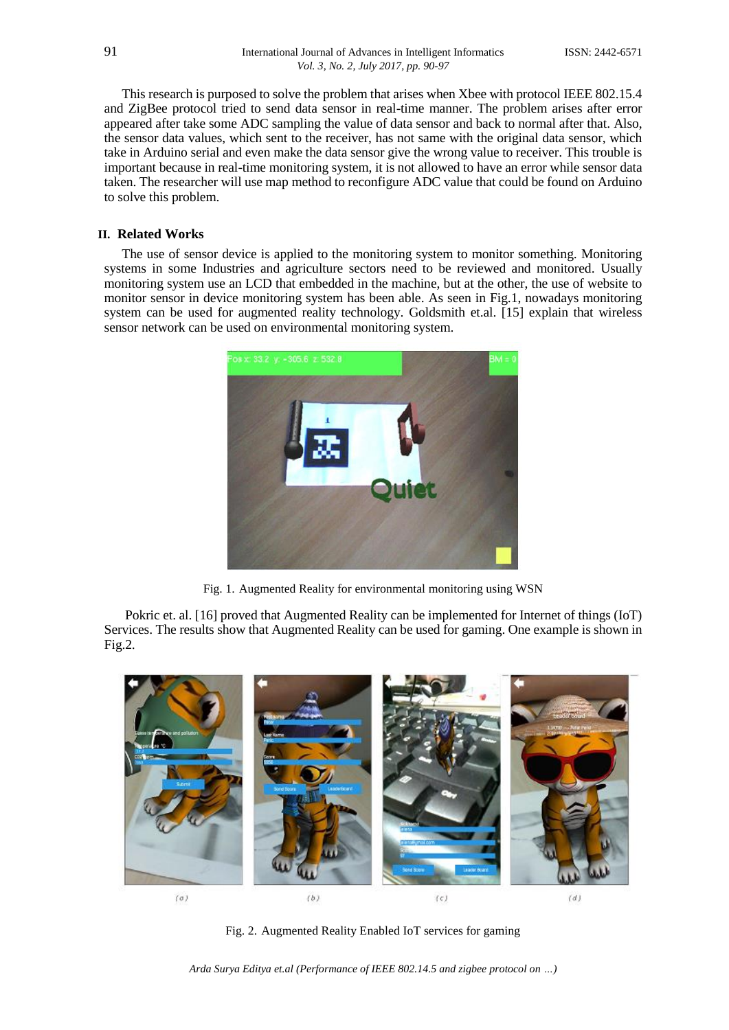This research is purposed to solve the problem that arises when Xbee with protocol IEEE 802.15.4 and ZigBee protocol tried to send data sensor in real-time manner. The problem arises after error appeared after take some ADC sampling the value of data sensor and back to normal after that. Also, the sensor data values, which sent to the receiver, has not same with the original data sensor, which take in Arduino serial and even make the data sensor give the wrong value to receiver. This trouble is important because in real-time monitoring system, it is not allowed to have an error while sensor data taken. The researcher will use map method to reconfigure ADC value that could be found on Arduino to solve this problem.

## **II. Related Works**

The use of sensor device is applied to the monitoring system to monitor something. Monitoring systems in some Industries and agriculture sectors need to be reviewed and monitored. Usually monitoring system use an LCD that embedded in the machine, but at the other, the use of website to monitor sensor in device monitoring system has been able. As seen in Fig.1, nowadays monitoring system can be used for augmented reality technology. Goldsmith et.al. [15] explain that wireless sensor network can be used on environmental monitoring system.



Fig. 1. Augmented Reality for environmental monitoring using WSN

Pokric et. al. [16] proved that Augmented Reality can be implemented for Internet of things (IoT) Services. The results show that Augmented Reality can be used for gaming. One example is shown in Fig.2.



Fig. 2. Augmented Reality Enabled IoT services for gaming

*Arda Surya Editya et.al (Performance of IEEE 802.14.5 and zigbee protocol on …)*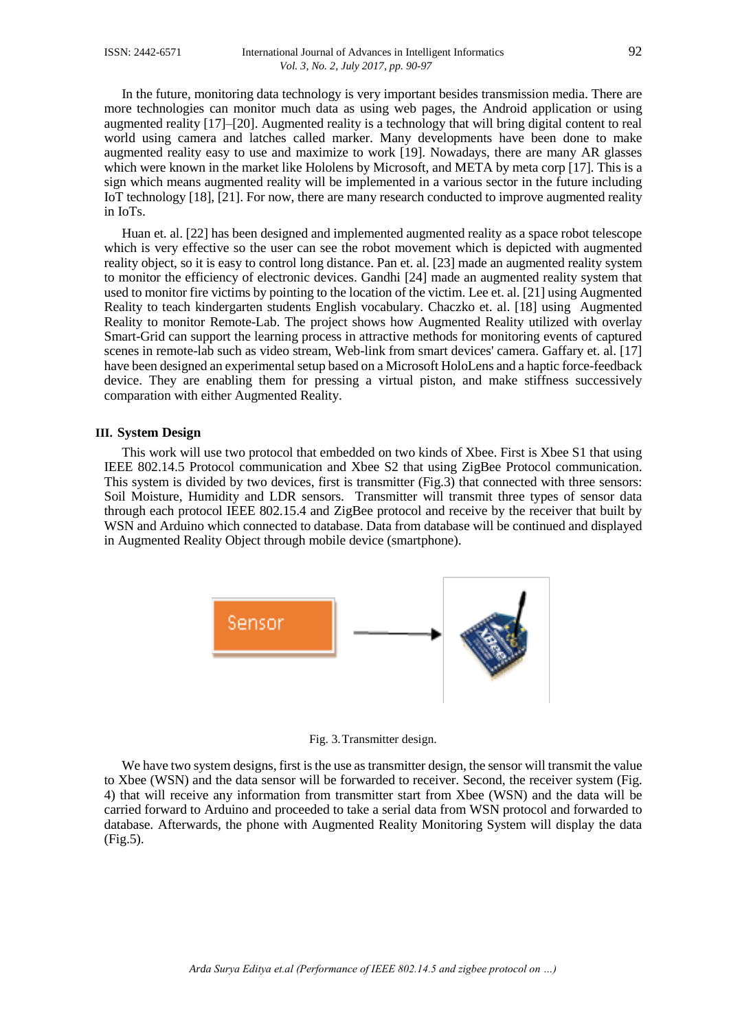In the future, monitoring data technology is very important besides transmission media. There are more technologies can monitor much data as using web pages, the Android application or using augmented reality [17]–[20]. Augmented reality is a technology that will bring digital content to real world using camera and latches called marker. Many developments have been done to make augmented reality easy to use and maximize to work [19]. Nowadays, there are many AR glasses which were known in the market like Hololens by Microsoft, and META by meta corp [17]. This is a sign which means augmented reality will be implemented in a various sector in the future including IoT technology [18], [21]. For now, there are many research conducted to improve augmented reality in IoTs.

Huan et. al. [22] has been designed and implemented augmented reality as a space robot telescope which is very effective so the user can see the robot movement which is depicted with augmented reality object, so it is easy to control long distance. Pan et. al. [23] made an augmented reality system to monitor the efficiency of electronic devices. Gandhi [24] made an augmented reality system that used to monitor fire victims by pointing to the location of the victim. Lee et. al. [21] using Augmented Reality to teach kindergarten students English vocabulary. Chaczko et. al. [18] using Augmented Reality to monitor Remote-Lab. The project shows how Augmented Reality utilized with overlay Smart-Grid can support the learning process in attractive methods for monitoring events of captured scenes in remote-lab such as video stream, Web-link from smart devices' camera. Gaffary et. al. [17] have been designed an experimental setup based on a Microsoft HoloLens and a haptic force-feedback device. They are enabling them for pressing a virtual piston, and make stiffness successively comparation with either Augmented Reality.

### **III. System Design**

This work will use two protocol that embedded on two kinds of Xbee. First is Xbee S1 that using IEEE 802.14.5 Protocol communication and Xbee S2 that using ZigBee Protocol communication. This system is divided by two devices, first is transmitter (Fig.3) that connected with three sensors: Soil Moisture, Humidity and LDR sensors. Transmitter will transmit three types of sensor data through each protocol IEEE 802.15.4 and ZigBee protocol and receive by the receiver that built by WSN and Arduino which connected to database. Data from database will be continued and displayed in Augmented Reality Object through mobile device (smartphone).



Fig. 3.Transmitter design.

We have two system designs, first is the use as transmitter design, the sensor will transmit the value to Xbee (WSN) and the data sensor will be forwarded to receiver. Second, the receiver system (Fig. 4) that will receive any information from transmitter start from Xbee (WSN) and the data will be carried forward to Arduino and proceeded to take a serial data from WSN protocol and forwarded to database. Afterwards, the phone with Augmented Reality Monitoring System will display the data (Fig.5).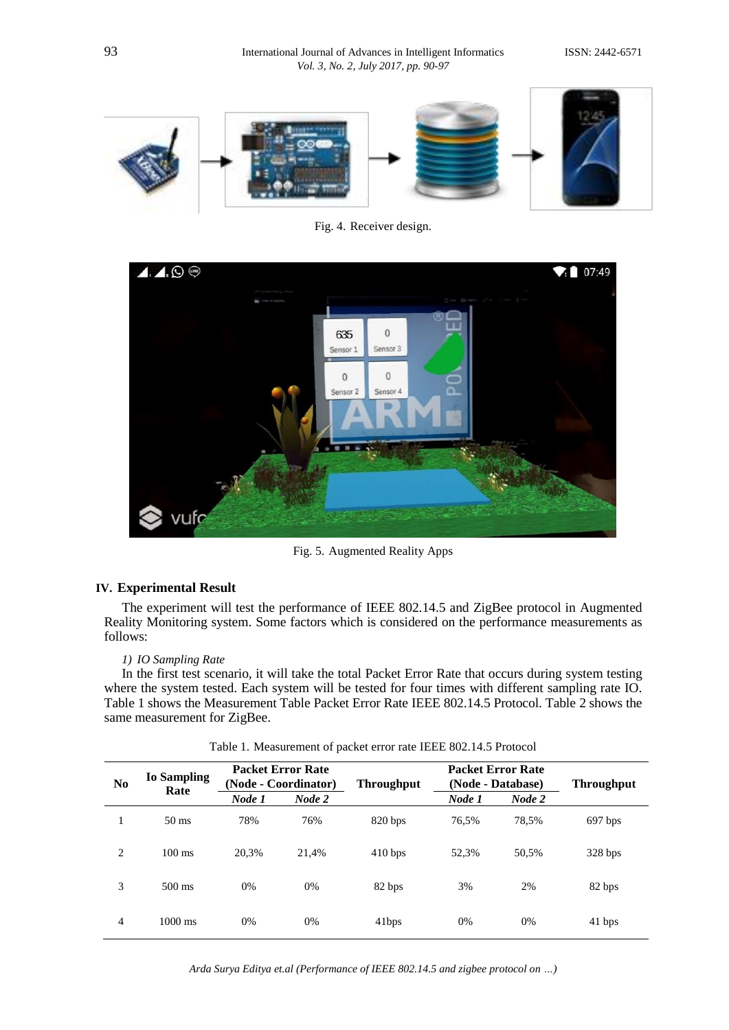

Fig. 4. Receiver design.



Fig. 5. Augmented Reality Apps

## **IV. Experimental Result**

The experiment will test the performance of IEEE 802.14.5 and ZigBee protocol in Augmented Reality Monitoring system. Some factors which is considered on the performance measurements as follows:

## *1) IO Sampling Rate*

In the first test scenario, it will take the total Packet Error Rate that occurs during system testing where the system tested. Each system will be tested for four times with different sampling rate IO. Table 1 shows the Measurement Table Packet Error Rate IEEE 802.14.5 Protocol. Table 2 shows the same measurement for ZigBee.

| N <sub>0</sub> | <b>Io Sampling</b> | <b>Packet Error Rate</b><br>(Node - Coordinator)<br>Rate |        | <b>Throughput</b> |        | <b>Packet Error Rate</b><br>(Node - Database) | <b>Throughput</b> |
|----------------|--------------------|----------------------------------------------------------|--------|-------------------|--------|-----------------------------------------------|-------------------|
|                |                    | Node 1                                                   | Node 2 |                   | Node 1 | Node 2                                        |                   |
|                | $50 \text{ ms}$    | 78%                                                      | 76%    | 820 bps           | 76.5%  | 78.5%                                         | 697 bps           |
| 2              | $100 \text{ ms}$   | 20.3%                                                    | 21.4%  | 410 bps           | 52.3%  | 50.5%                                         | $328$ bps         |
| 3              | $500 \text{ ms}$   | 0%                                                       | 0%     | 82 bps            | 3%     | 2%                                            | 82 bps            |
| $\overline{4}$ | $1000 \text{ ms}$  | 0%                                                       | 0%     | 41bps             | 0%     | 0%                                            | 41 bps            |

Table 1. Measurement of packet error rate IEEE 802.14.5 Protocol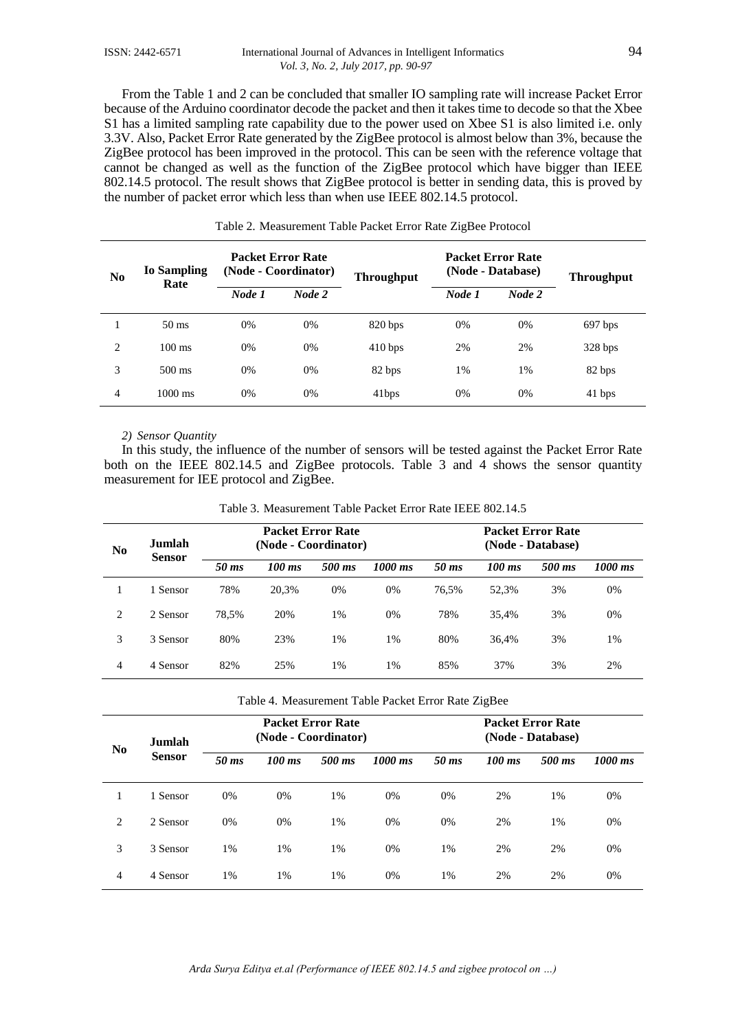From the Table 1 and 2 can be concluded that smaller IO sampling rate will increase Packet Error because of the Arduino coordinator decode the packet and then it takes time to decode so that the Xbee S1 has a limited sampling rate capability due to the power used on Xbee S1 is also limited i.e. only 3.3V. Also, Packet Error Rate generated by the ZigBee protocol is almost below than 3%, because the ZigBee protocol has been improved in the protocol. This can be seen with the reference voltage that cannot be changed as well as the function of the ZigBee protocol which have bigger than IEEE 802.14.5 protocol. The result shows that ZigBee protocol is better in sending data, this is proved by the number of packet error which less than when use IEEE 802.14.5 protocol.

| N <sub>0</sub> | <b>Io Sampling</b> | <b>Packet Error Rate</b><br>(Node - Coordinator) |        | <b>Throughput</b> |        | <b>Packet Error Rate</b><br>(Node - Database) | <b>Throughput</b> |
|----------------|--------------------|--------------------------------------------------|--------|-------------------|--------|-----------------------------------------------|-------------------|
|                | Rate               | Node 1                                           | Node 2 |                   | Node 1 | Node 2                                        |                   |
|                | $50 \text{ ms}$    | 0%                                               | 0%     | 820 bps           | 0%     | 0%                                            | 697 bps           |
| 2              | $100 \text{ ms}$   | 0%                                               | 0%     | 410 bps           | 2%     | 2%                                            | $328$ bps         |
| 3              | $500 \text{ ms}$   | 0%                                               | 0%     | 82 bps            | 1%     | 1%                                            | 82 bps            |
| 4              | $1000 \text{ ms}$  | $0\%$                                            | 0%     | 41bps             | 0%     | 0%                                            | 41 bps            |

#### Table 2. Measurement Table Packet Error Rate ZigBee Protocol

#### *2) Sensor Quantity*

In this study, the influence of the number of sensors will be tested against the Packet Error Rate both on the IEEE 802.14.5 and ZigBee protocols. Table 3 and 4 shows the sensor quantity measurement for IEE protocol and ZigBee.

| N <sub>0</sub> | Jumlah<br><b>Sensor</b> | <b>Packet Error Rate</b><br>(Node - Coordinator) |          |        |         | <b>Packet Error Rate</b><br>(Node - Database) |          |        |           |  |
|----------------|-------------------------|--------------------------------------------------|----------|--------|---------|-----------------------------------------------|----------|--------|-----------|--|
|                |                         | 50 ms                                            | $100$ ms | 500 ms | 1000 ms | $50$ ms                                       | $100$ ms | 500 ms | $1000$ ms |  |
|                | 1 Sensor                | 78%                                              | 20,3%    | 0%     | 0%      | 76.5%                                         | 52,3%    | 3%     | 0%        |  |
| 2              | 2 Sensor                | 78,5%                                            | 20%      | $1\%$  | 0%      | 78%                                           | 35,4%    | 3%     | 0%        |  |
| 3              | 3 Sensor                | 80%                                              | 23%      | $1\%$  | 1%      | 80%                                           | 36,4%    | 3%     | 1%        |  |
| 4              | 4 Sensor                | 82%                                              | 25%      | $1\%$  | 1%      | 85%                                           | 37%      | 3%     | 2%        |  |

Table 3. Measurement Table Packet Error Rate IEEE 802.14.5

| Table 4. Measurement Table Packet Error Rate ZigBee |  |  |  |
|-----------------------------------------------------|--|--|--|
|                                                     |  |  |  |

| N <sub>0</sub> | <b>Jumlah</b><br><b>Sensor</b> |         | (Node - Coordinator) | <b>Packet Error Rate</b> |         |       |          | <b>Packet Error Rate</b><br>(Node - Database) |         |
|----------------|--------------------------------|---------|----------------------|--------------------------|---------|-------|----------|-----------------------------------------------|---------|
|                |                                | $50$ ms | $100$ ms             | 500 ms                   | 1000 ms | 50 ms | $100$ ms | 500 ms                                        | 1000 ms |
| 1              | 1 Sensor                       | 0%      | 0%                   | 1%                       | 0%      | 0%    | 2%       | 1%                                            | 0%      |
| 2              | 2 Sensor                       | 0%      | 0%                   | 1%                       | 0%      | 0%    | 2%       | 1%                                            | 0%      |
| 3              | 3 Sensor                       | 1%      | $1\%$                | 1%                       | 0%      | 1%    | 2%       | 2%                                            | 0%      |
| $\overline{4}$ | 4 Sensor                       | 1%      | 1%                   | 1%                       | 0%      | 1%    | 2%       | 2%                                            | 0%      |

*Arda Surya Editya et.al (Performance of IEEE 802.14.5 and zigbee protocol on …)*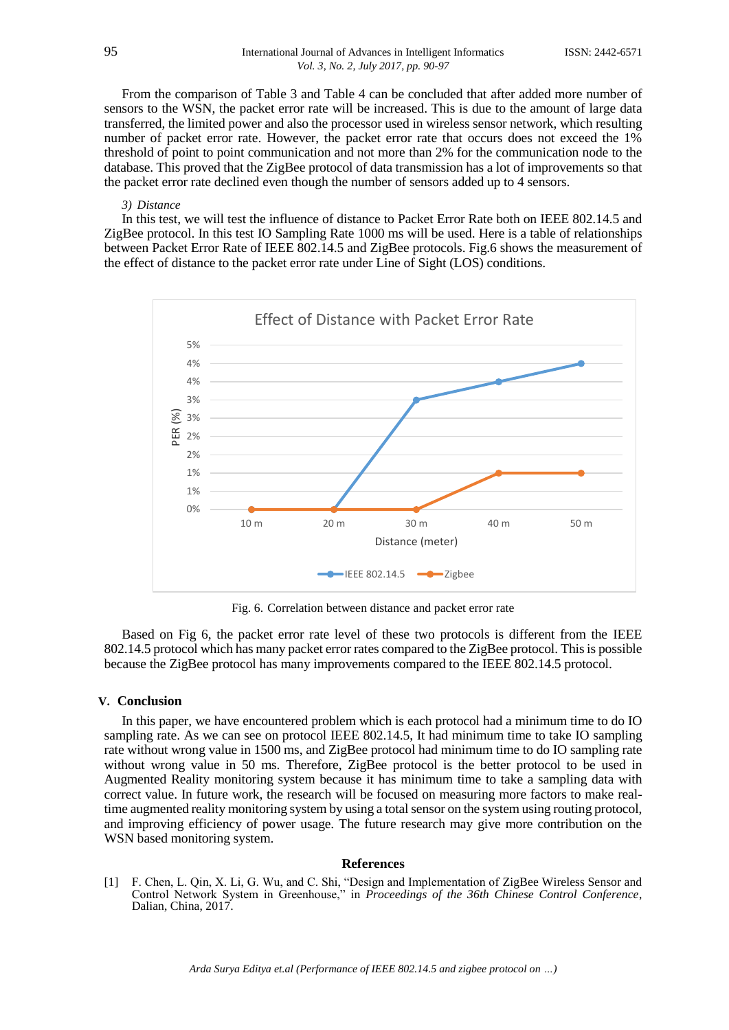From the comparison of Table 3 and Table 4 can be concluded that after added more number of sensors to the WSN, the packet error rate will be increased. This is due to the amount of large data transferred, the limited power and also the processor used in wireless sensor network, which resulting number of packet error rate. However, the packet error rate that occurs does not exceed the 1% threshold of point to point communication and not more than 2% for the communication node to the database. This proved that the ZigBee protocol of data transmission has a lot of improvements so that the packet error rate declined even though the number of sensors added up to 4 sensors.

#### *3) Distance*

In this test, we will test the influence of distance to Packet Error Rate both on IEEE 802.14.5 and ZigBee protocol. In this test IO Sampling Rate 1000 ms will be used. Here is a table of relationships between Packet Error Rate of IEEE 802.14.5 and ZigBee protocols. Fig.6 shows the measurement of the effect of distance to the packet error rate under Line of Sight (LOS) conditions.



Fig. 6. Correlation between distance and packet error rate

Based on Fig 6, the packet error rate level of these two protocols is different from the IEEE 802.14.5 protocol which has many packet error rates compared to the ZigBee protocol. Thisis possible because the ZigBee protocol has many improvements compared to the IEEE 802.14.5 protocol.

#### **V. Conclusion**

In this paper, we have encountered problem which is each protocol had a minimum time to do IO sampling rate. As we can see on protocol IEEE 802.14.5, It had minimum time to take IO sampling rate without wrong value in 1500 ms, and ZigBee protocol had minimum time to do IO sampling rate without wrong value in 50 ms. Therefore, ZigBee protocol is the better protocol to be used in Augmented Reality monitoring system because it has minimum time to take a sampling data with correct value. In future work, the research will be focused on measuring more factors to make realtime augmented reality monitoring system by using a total sensor on the system using routing protocol, and improving efficiency of power usage. The future research may give more contribution on the WSN based monitoring system.

#### **References**

[1] F. Chen, L. Qin, X. Li, G. Wu, and C. Shi, "Design and Implementation of ZigBee Wireless Sensor and Control Network System in Greenhouse," in *Proceedings of the 36th Chinese Control Conference*, Dalian, China, 2017.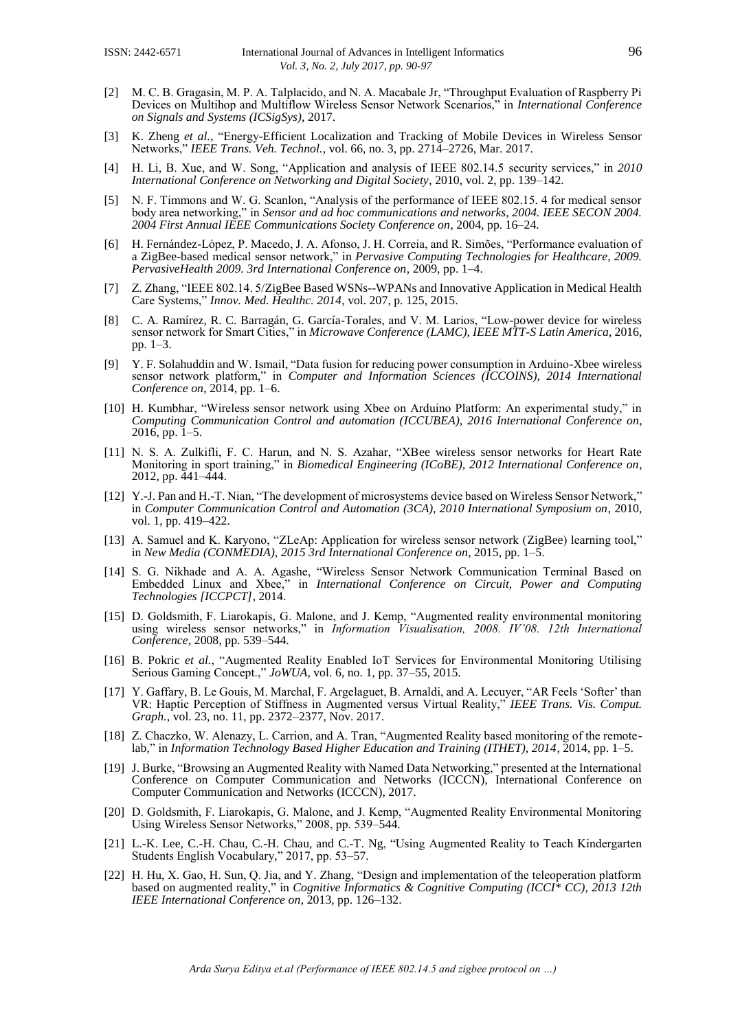- [2] M. C. B. Gragasin, M. P. A. Talplacido, and N. A. Macabale Jr, "Throughput Evaluation of Raspberry Pi Devices on Multihop and Multiflow Wireless Sensor Network Scenarios," in *International Conference on Signals and Systems (ICSigSys)*, 2017.
- [3] K. Zheng *et al.*, "Energy-Efficient Localization and Tracking of Mobile Devices in Wireless Sensor Networks," *IEEE Trans. Veh. Technol.*, vol. 66, no. 3, pp. 2714–2726, Mar. 2017.
- [4] H. Li, B. Xue, and W. Song, "Application and analysis of IEEE 802.14.5 security services," in *2010 International Conference on Networking and Digital Society*, 2010, vol. 2, pp. 139–142.
- [5] N. F. Timmons and W. G. Scanlon, "Analysis of the performance of IEEE 802.15. 4 for medical sensor body area networking," in *Sensor and ad hoc communications and networks, 2004. IEEE SECON 2004. 2004 First Annual IEEE Communications Society Conference on*, 2004, pp. 16–24.
- [6] H. Fernández-López, P. Macedo, J. A. Afonso, J. H. Correia, and R. Simões, "Performance evaluation of a ZigBee-based medical sensor network," in *Pervasive Computing Technologies for Healthcare, 2009. PervasiveHealth 2009. 3rd International Conference on*, 2009, pp. 1–4.
- [7] Z. Zhang, "IEEE 802.14. 5/ZigBee Based WSNs--WPANs and Innovative Application in Medical Health Care Systems," *Innov. Med. Healthc. 2014*, vol. 207, p. 125, 2015.
- [8] C. A. Ramírez, R. C. Barragán, G. García-Torales, and V. M. Larios, "Low-power device for wireless sensor network for Smart Cities," in *Microwave Conference (LAMC), IEEE MTT-S Latin America*, 2016, pp. 1–3.
- [9] Y. F. Solahuddin and W. Ismail, "Data fusion for reducing power consumption in Arduino-Xbee wireless sensor network platform," in *Computer and Information Sciences (ICCOINS), 2014 International Conference on*, 2014, pp. 1–6.
- [10] H. Kumbhar, "Wireless sensor network using Xbee on Arduino Platform: An experimental study," in *Computing Communication Control and automation (ICCUBEA), 2016 International Conference on*, 2016, pp. 1–5.
- [11] N. S. A. Zulkifli, F. C. Harun, and N. S. Azahar, "XBee wireless sensor networks for Heart Rate Monitoring in sport training," in *Biomedical Engineering (ICoBE), 2012 International Conference on*, 2012, pp. 441–444.
- [12] Y.-J. Pan and H.-T. Nian, "The development of microsystems device based on Wireless Sensor Network," in *Computer Communication Control and Automation (3CA), 2010 International Symposium on*, 2010, vol. 1, pp. 419–422.
- [13] A. Samuel and K. Karyono, "ZLeAp: Application for wireless sensor network (ZigBee) learning tool," in *New Media (CONMEDIA), 2015 3rd International Conference on*, 2015, pp. 1–5.
- [14] S. G. Nikhade and A. A. Agashe, "Wireless Sensor Network Communication Terminal Based on Embedded Linux and Xbee," in *International Conference on Circuit, Power and Computing Technologies [ICCPCT]*, 2014.
- [15] D. Goldsmith, F. Liarokapis, G. Malone, and J. Kemp, "Augmented reality environmental monitoring using wireless sensor networks," in *Information Visualisation, 2008. IV'08. 12th International Conference*, 2008, pp. 539–544.
- [16] B. Pokric *et al.*, "Augmented Reality Enabled IoT Services for Environmental Monitoring Utilising Serious Gaming Concept.," *JoWUA*, vol. 6, no. 1, pp. 37–55, 2015.
- [17] Y. Gaffary, B. Le Gouis, M. Marchal, F. Argelaguet, B. Arnaldi, and A. Lecuyer, "AR Feels 'Softer' than VR: Haptic Perception of Stiffness in Augmented versus Virtual Reality," *IEEE Trans. Vis. Comput. Graph.*, vol. 23, no. 11, pp. 2372–2377, Nov. 2017.
- [18] Z. Chaczko, W. Alenazy, L. Carrion, and A. Tran, "Augmented Reality based monitoring of the remotelab," in *Information Technology Based Higher Education and Training (ITHET), 2014*, 2014, pp. 1–5.
- [19] J. Burke, "Browsing an Augmented Reality with Named Data Networking," presented at the International Conference on Computer Communication and Networks (ICCCN), International Conference on Computer Communication and Networks (ICCCN), 2017.
- [20] D. Goldsmith, F. Liarokapis, G. Malone, and J. Kemp, "Augmented Reality Environmental Monitoring Using Wireless Sensor Networks," 2008, pp. 539–544.
- [21] L.-K. Lee, C.-H. Chau, C.-H. Chau, and C.-T. Ng, "Using Augmented Reality to Teach Kindergarten Students English Vocabulary," 2017, pp. 53–57.
- [22] H. Hu, X. Gao, H. Sun, Q. Jia, and Y. Zhang, "Design and implementation of the teleoperation platform based on augmented reality," in *Cognitive Informatics & Cognitive Computing (ICCI\* CC), 2013 12th IEEE International Conference on*, 2013, pp. 126–132.